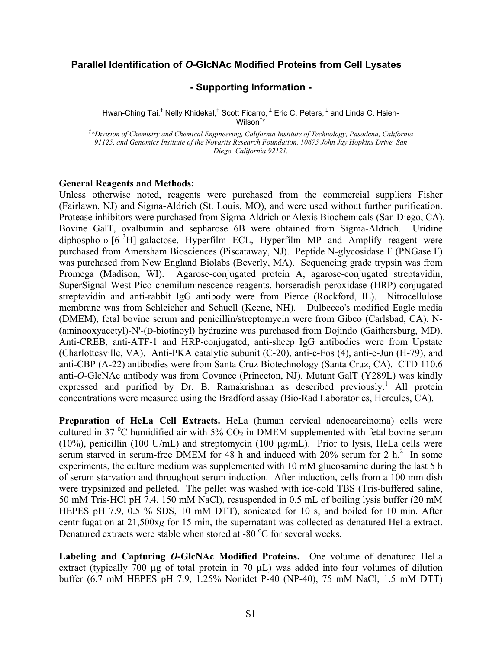## **Parallel Identification of** *O***-GlcNAc Modified Proteins from Cell Lysates**

## **- Supporting Information -**

Hwan-Ching Tai,<sup>†</sup> Nelly Khidekel,<sup>†</sup> Scott Ficarro, <sup>‡</sup> Eric C. Peters, <sup>‡</sup> and Linda C. Hsieh-Wilson† \*

*† \*Division of Chemistry and Chemical Engineering, California Institute of Technology, Pasadena, California 91125, and Genomics Institute of the Novartis Research Foundation, 10675 John Jay Hopkins Drive, San Diego, California 92121.* 

## **General Reagents and Methods:**

Unless otherwise noted, reagents were purchased from the commercial suppliers Fisher (Fairlawn, NJ) and Sigma-Aldrich (St. Louis, MO), and were used without further purification. Protease inhibitors were purchased from Sigma-Aldrich or Alexis Biochemicals (San Diego, CA). Bovine GalT, ovalbumin and sepharose 6B were obtained from Sigma-Aldrich. Uridine diphospho-D-[6-<sup>3</sup>H]-galactose, Hyperfilm ECL, Hyperfilm MP and Amplify reagent were purchased from Amersham Biosciences (Piscataway, NJ). Peptide N-glycosidase F (PNGase F) was purchased from New England Biolabs (Beverly, MA). Sequencing grade trypsin was from Promega (Madison, WI). Agarose-conjugated protein A, agarose-conjugated streptavidin, SuperSignal West Pico chemiluminescence reagents, horseradish peroxidase (HRP)-conjugated streptavidin and anti-rabbit IgG antibody were from Pierce (Rockford, IL). Nitrocellulose membrane was from Schleicher and Schuell (Keene, NH). Dulbecco's modified Eagle media (DMEM), fetal bovine serum and penicillin/streptomycin were from Gibco (Carlsbad, CA). N- (aminooxyacetyl)-N'-(D-biotinoyl) hydrazine was purchased from Dojindo (Gaithersburg, MD). Anti-CREB, anti-ATF-1 and HRP-conjugated, anti-sheep IgG antibodies were from Upstate (Charlottesville, VA). Anti-PKA catalytic subunit (C-20), anti-c-Fos (4), anti-c-Jun (H-79), and anti-CBP (A-22) antibodies were from Santa Cruz Biotechnology (Santa Cruz, CA). CTD 110.6 anti-*O*-GlcNAc antibody was from Covance (Princeton, NJ). Mutant GalT (Y289L) was kindly expressed and purified by Dr. B. Ramakrishnan as described previously.<sup>1</sup> All protein concentrations were measured using the Bradford assay (Bio-Rad Laboratories, Hercules, CA).

**Preparation of HeLa Cell Extracts.** HeLa (human cervical adenocarcinoma) cells were cultured in 37 °C humidified air with 5%  $CO<sub>2</sub>$  in DMEM supplemented with fetal bovine serum (10%), penicillin (100 U/mL) and streptomycin (100 µg/mL). Prior to lysis, HeLa cells were serum starved in serum-free DMEM for 48 h and induced with  $20\%$  serum for  $2 \text{ h}^2$  In some experiments, the culture medium was supplemented with 10 mM glucosamine during the last 5 h of serum starvation and throughout serum induction. After induction, cells from a 100 mm dish were trypsinized and pelleted. The pellet was washed with ice-cold TBS (Tris-buffered saline, 50 mM Tris-HCl pH 7.4, 150 mM NaCl), resuspended in 0.5 mL of boiling lysis buffer (20 mM HEPES pH 7.9, 0.5 % SDS, 10 mM DTT), sonicated for 10 s, and boiled for 10 min. After centrifugation at 21,500x*g* for 15 min, the supernatant was collected as denatured HeLa extract. Denatured extracts were stable when stored at -80 °C for several weeks.

**Labeling and Capturing** *O***-GlcNAc Modified Proteins.** One volume of denatured HeLa extract (typically 700 µg of total protein in 70 µL) was added into four volumes of dilution buffer (6.7 mM HEPES pH 7.9, 1.25% Nonidet P-40 (NP-40), 75 mM NaCl, 1.5 mM DTT)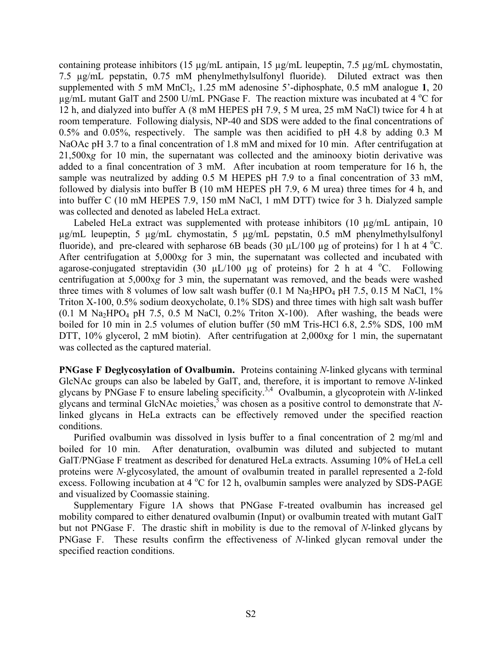containing protease inhibitors (15 µg/mL antipain, 15 µg/mL leupeptin, 7.5 µg/mL chymostatin, 7.5 µg/mL pepstatin, 0.75 mM phenylmethylsulfonyl fluoride). Diluted extract was then supplemented with 5 mM MnCl<sub>2</sub>, 1.25 mM adenosine 5'-diphosphate, 0.5 mM analogue 1, 20  $\mu$ g/mL mutant GalT and 2500 U/mL PNGase F. The reaction mixture was incubated at 4 °C for 12 h, and dialyzed into buffer A (8 mM HEPES pH 7.9, 5 M urea, 25 mM NaCl) twice for 4 h at room temperature. Following dialysis, NP-40 and SDS were added to the final concentrations of 0.5% and 0.05%, respectively. The sample was then acidified to pH 4.8 by adding 0.3 M NaOAc pH 3.7 to a final concentration of 1.8 mM and mixed for 10 min. After centrifugation at 21,500x*g* for 10 min, the supernatant was collected and the aminooxy biotin derivative was added to a final concentration of 3 mM. After incubation at room temperature for 16 h, the sample was neutralized by adding 0.5 M HEPES pH 7.9 to a final concentration of 33 mM, followed by dialysis into buffer B (10 mM HEPES pH 7.9, 6 M urea) three times for 4 h, and into buffer C (10 mM HEPES 7.9, 150 mM NaCl, 1 mM DTT) twice for 3 h. Dialyzed sample was collected and denoted as labeled HeLa extract.

Labeled HeLa extract was supplemented with protease inhibitors (10 µg/mL antipain, 10 µg/mL leupeptin, 5 µg/mL chymostatin, 5 µg/mL pepstatin, 0.5 mM phenylmethylsulfonyl fluoride), and pre-cleared with sepharose 6B beads  $(30 \mu L/100 \mu g)$  of proteins) for 1 h at 4 °C. After centrifugation at 5,000x*g* for 3 min, the supernatant was collected and incubated with agarose-conjugated streptavidin (30  $\mu$ L/100  $\mu$ g of proteins) for 2 h at 4 °C. Following centrifugation at 5,000x*g* for 3 min, the supernatant was removed, and the beads were washed three times with 8 volumes of low salt wash buffer  $(0.1 \text{ M Na}_{2}HPO_{4} \text{ pH } 7.5, 0.15 \text{ M NaCl}, 1\%$ Triton X-100, 0.5% sodium deoxycholate, 0.1% SDS) and three times with high salt wash buffer  $(0.1 \text{ M } Na<sub>2</sub>HPO<sub>4</sub> pH 7.5, 0.5 M NaCl, 0.2% Triton X-100).$  After washing, the beads were boiled for 10 min in 2.5 volumes of elution buffer (50 mM Tris-HCl 6.8, 2.5% SDS, 100 mM DTT, 10% glycerol, 2 mM biotin). After centrifugation at 2,000x*g* for 1 min, the supernatant was collected as the captured material.

**PNGase F Deglycosylation of Ovalbumin.** Proteins containing *N*-linked glycans with terminal GlcNAc groups can also be labeled by GalT, and, therefore, it is important to remove *N*-linked glycans by PNGase F to ensure labeling specificity.<sup>3,4</sup> Ovalbumin, a glycoprotein with *N*-linked glycans and terminal GlcNAc moieties,  $\frac{5}{3}$  was chosen as a positive control to demonstrate that *N*linked glycans in HeLa extracts can be effectively removed under the specified reaction conditions.

 Purified ovalbumin was dissolved in lysis buffer to a final concentration of 2 mg/ml and boiled for 10 min. After denaturation, ovalbumin was diluted and subjected to mutant GalT/PNGase F treatment as described for denatured HeLa extracts. Assuming 10% of HeLa cell proteins were *N*-glycosylated, the amount of ovalbumin treated in parallel represented a 2-fold excess. Following incubation at 4 °C for 12 h, ovalbumin samples were analyzed by SDS-PAGE and visualized by Coomassie staining.

Supplementary Figure 1A shows that PNGase F-treated ovalbumin has increased gel mobility compared to either denatured ovalbumin (Input) or ovalbumin treated with mutant GalT but not PNGase F. The drastic shift in mobility is due to the removal of *N*-linked glycans by PNGase F. These results confirm the effectiveness of *N*-linked glycan removal under the specified reaction conditions.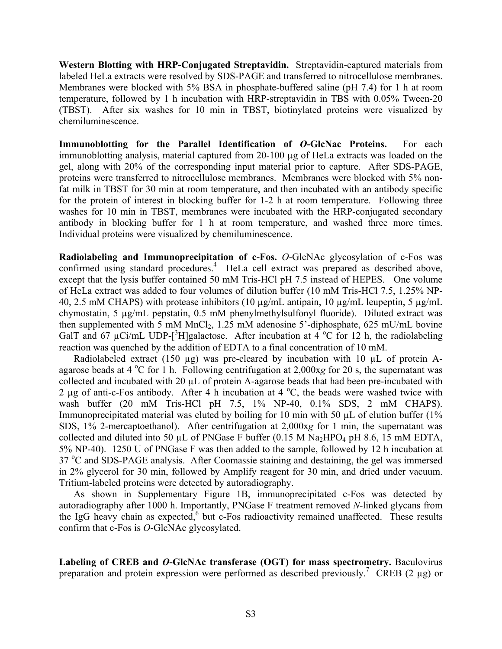**Western Blotting with HRP-Conjugated Streptavidin.** Streptavidin-captured materials from labeled HeLa extracts were resolved by SDS-PAGE and transferred to nitrocellulose membranes. Membranes were blocked with 5% BSA in phosphate-buffered saline (pH 7.4) for 1 h at room temperature, followed by 1 h incubation with HRP-streptavidin in TBS with 0.05% Tween-20 (TBST). After six washes for 10 min in TBST, biotinylated proteins were visualized by chemiluminescence.

**Immunoblotting for the Parallel Identification of** *O***-GlcNac Proteins.** For each immunoblotting analysis, material captured from 20-100 µg of HeLa extracts was loaded on the gel, along with 20% of the corresponding input material prior to capture. After SDS-PAGE, proteins were transferred to nitrocellulose membranes. Membranes were blocked with 5% nonfat milk in TBST for 30 min at room temperature, and then incubated with an antibody specific for the protein of interest in blocking buffer for 1-2 h at room temperature. Following three washes for 10 min in TBST, membranes were incubated with the HRP-conjugated secondary antibody in blocking buffer for 1 h at room temperature, and washed three more times. Individual proteins were visualized by chemiluminescence.

**Radiolabeling and Immunoprecipitation of c-Fos.** *O*-GlcNAc glycosylation of c-Fos was confirmed using standard procedures.<sup>4</sup> HeLa cell extract was prepared as described above, except that the lysis buffer contained 50 mM Tris-HCl pH 7.5 instead of HEPES. One volume of HeLa extract was added to four volumes of dilution buffer (10 mM Tris-HCl 7.5, 1.25% NP-40, 2.5 mM CHAPS) with protease inhibitors (10 µg/mL antipain, 10 µg/mL leupeptin, 5 µg/mL chymostatin, 5 µg/mL pepstatin, 0.5 mM phenylmethylsulfonyl fluoride). Diluted extract was then supplemented with 5 mM  $MnCl<sub>2</sub>$ , 1.25 mM adenosine 5'-diphosphate, 625 mU/mL bovine GalT and 67 µCi/mL UDP-[<sup>3</sup>H]galactose. After incubation at  $4^{\circ}$ C for 12 h, the radiolabeling reaction was quenched by the addition of EDTA to a final concentration of 10 mM.

Radiolabeled extract (150  $\mu$ g) was pre-cleared by incubation with 10  $\mu$ L of protein Aagarose beads at 4 °C for 1 h. Following centrifugation at 2,000x*g* for 20 s, the supernatant was collected and incubated with 20 µL of protein A-agarose beads that had been pre-incubated with 2  $\mu$ g of anti-c-Fos antibody. After 4 h incubation at 4 °C, the beads were washed twice with wash buffer (20 mM Tris-HCl pH 7.5, 1% NP-40, 0.1% SDS, 2 mM CHAPS). Immunoprecipitated material was eluted by boiling for 10 min with 50  $\mu$ L of elution buffer (1%) SDS, 1% 2-mercaptoethanol). After centrifugation at 2,000x*g* for 1 min, the supernatant was collected and diluted into 50  $\mu$ L of PNGase F buffer (0.15 M Na<sub>2</sub>HPO<sub>4</sub> pH 8.6, 15 mM EDTA, 5% NP-40). 1250 U of PNGase F was then added to the sample, followed by 12 h incubation at 37 °C and SDS-PAGE analysis. After Coomassie staining and destaining, the gel was immersed in 2% glycerol for 30 min, followed by Amplify reagent for 30 min, and dried under vacuum. Tritium-labeled proteins were detected by autoradiography.

 As shown in Supplementary Figure 1B, immunoprecipitated c-Fos was detected by autoradiography after 1000 h. Importantly, PNGase F treatment removed *N*-linked glycans from the IgG heavy chain as expected,<sup>6</sup> but c-Fos radioactivity remained unaffected. These results confirm that c-Fos is *O*-GlcNAc glycosylated.

**Labeling of CREB and** *O***-GlcNAc transferase (OGT) for mass spectrometry.** Baculovirus preparation and protein expression were performed as described previously.<sup>7</sup> CREB (2 µg) or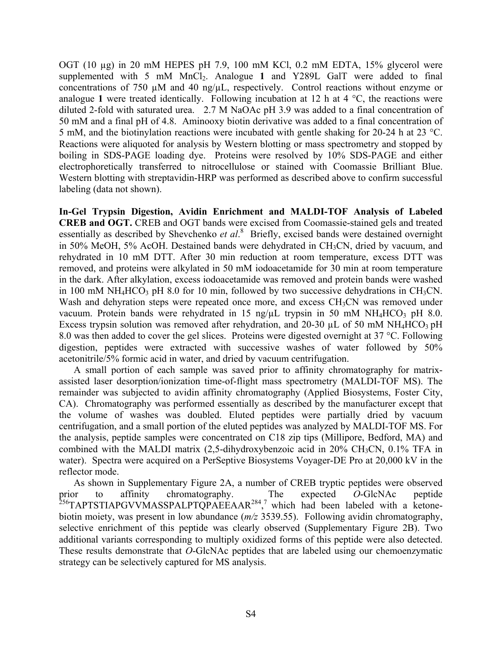OGT (10 µg) in 20 mM HEPES pH 7.9, 100 mM KCl, 0.2 mM EDTA, 15% glycerol were supplemented with 5 mM MnCl<sub>2</sub>. Analogue 1 and Y289L GalT were added to final concentrations of 750 µM and 40 ng/µL, respectively. Control reactions without enzyme or analogue **1** were treated identically. Following incubation at 12 h at 4 °C, the reactions were diluted 2-fold with saturated urea. 2.7 M NaOAc pH 3.9 was added to a final concentration of 50 mM and a final pH of 4.8. Aminooxy biotin derivative was added to a final concentration of 5 mM, and the biotinylation reactions were incubated with gentle shaking for 20-24 h at 23  $^{\circ}$ C. Reactions were aliquoted for analysis by Western blotting or mass spectrometry and stopped by boiling in SDS-PAGE loading dye. Proteins were resolved by 10% SDS-PAGE and either electrophoretically transferred to nitrocellulose or stained with Coomassie Brilliant Blue. Western blotting with streptavidin-HRP was performed as described above to confirm successful labeling (data not shown).

**In-Gel Trypsin Digestion, Avidin Enrichment and MALDI-TOF Analysis of Labeled CREB and OGT.** CREB and OGT bands were excised from Coomassie-stained gels and treated essentially as described by Shevchenko et al.<sup>8</sup> Briefly, excised bands were destained overnight in 50% MeOH, 5% AcOH. Destained bands were dehydrated in CH<sub>3</sub>CN, dried by vacuum, and rehydrated in 10 mM DTT. After 30 min reduction at room temperature, excess DTT was removed, and proteins were alkylated in 50 mM iodoacetamide for 30 min at room temperature in the dark. After alkylation, excess iodoacetamide was removed and protein bands were washed in 100 mM NH<sub>4</sub>HCO<sub>3</sub> pH 8.0 for 10 min, followed by two successive dehydrations in CH<sub>3</sub>CN. Wash and dehyration steps were repeated once more, and excess CH<sub>3</sub>CN was removed under vacuum. Protein bands were rehydrated in 15 ng/ $\mu$ L trypsin in 50 mM NH<sub>4</sub>HCO<sub>3</sub> pH 8.0. Excess trypsin solution was removed after rehydration, and 20-30  $\mu$ L of 50 mM NH<sub>4</sub>HCO<sub>3</sub> pH 8.0 was then added to cover the gel slices. Proteins were digested overnight at 37 °C. Following digestion, peptides were extracted with successive washes of water followed by 50% acetonitrile/5% formic acid in water, and dried by vacuum centrifugation.

 A small portion of each sample was saved prior to affinity chromatography for matrixassisted laser desorption/ionization time-of-flight mass spectrometry (MALDI-TOF MS). The remainder was subjected to avidin affinity chromatography (Applied Biosystems, Foster City, CA). Chromatography was performed essentially as described by the manufacturer except that the volume of washes was doubled. Eluted peptides were partially dried by vacuum centrifugation, and a small portion of the eluted peptides was analyzed by MALDI-TOF MS. For the analysis, peptide samples were concentrated on C18 zip tips (Millipore, Bedford, MA) and combined with the MALDI matrix  $(2,5$ -dihydroxybenzoic acid in 20% CH<sub>3</sub>CN, 0.1% TFA in water). Spectra were acquired on a PerSeptive Biosystems Voyager-DE Pro at 20,000 kV in the reflector mode.

 As shown in Supplementary Figure 2A, a number of CREB tryptic peptides were observed prior to affinity chromatography. The expected *O*-GlcNAc peptide  $^{256}$ TAPTSTIAPGVVMASSPALPTQPAEEAAR<sup>284</sup>,<sup>7</sup> which had been labeled with a ketonebiotin moiety, was present in low abundance (*m/z* 3539.55). Following avidin chromatography, selective enrichment of this peptide was clearly observed (Supplementary Figure 2B). Two additional variants corresponding to multiply oxidized forms of this peptide were also detected. These results demonstrate that *O*-GlcNAc peptides that are labeled using our chemoenzymatic strategy can be selectively captured for MS analysis.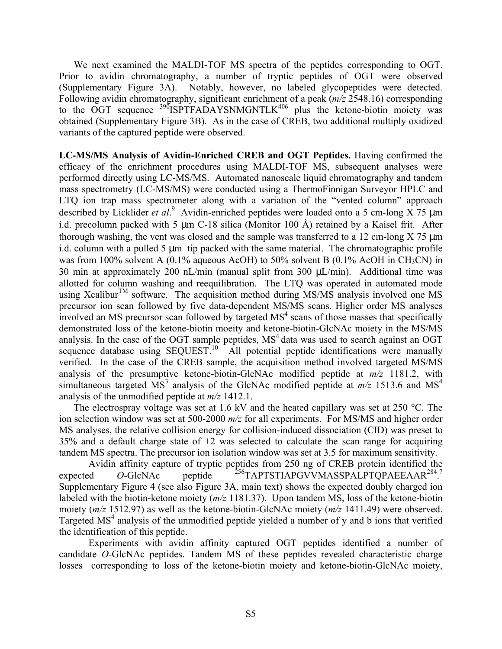We next examined the MALDI-TOF MS spectra of the peptides corresponding to OGT. Prior to avidin chromatography, a number of tryptic peptides of OGT were observed (Supplementary Figure 3A). Notably, however, no labeled glycopeptides were detected. Following avidin chromatography, significant enrichment of a peak (*m/z* 2548.16) corresponding to the OGT sequence  $^{390}$ ISPTFADAYSNMGNTLK<sup>406</sup> plus the ketone-biotin moiety was obtained (Supplementary Figure 3B). As in the case of CREB, two additional multiply oxidized variants of the captured peptide were observed.

**LC-MS/MS Analysis of Avidin-Enriched CREB and OGT Peptides.** Having confirmed the efficacy of the enrichment procedures using MALDI-TOF MS, subsequent analyses were performed directly using LC-MS/MS. Automated nanoscale liquid chromatography and tandem mass spectrometry (LC-MS/MS) were conducted using a ThermoFinnigan Surveyor HPLC and LTO ion trap mass spectrometer along with a variation of the "vented column" approach described by Licklider *et al.*<sup>9</sup> Avidin-enriched peptides were loaded onto a 5 cm-long X 75 µm i.d. precolumn packed with 5 um C-18 silica (Monitor 100 Å) retained by a Kaisel frit. After thorough washing, the vent was closed and the sample was transferred to a 12 cm-long  $X$  75  $\mu$ m i.d. column with a pulled 5  $\mu$ m tip packed with the same material. The chromatographic profile was from 100% solvent A (0.1% aqueous AcOH) to 50% solvent B (0.1% AcOH in CH<sub>3</sub>CN) in 30 min at approximately 200 nL/min (manual split from 300  $\mu$ L/min). Additional time was allotted for column washing and reequilibration. The LTQ was operated in automated mode using Xcalibur<sup>TM</sup> software. The acquisition method during MS/MS analysis involved one MS precursor ion scan followed by five data-dependent MS/MS scans. Higher order MS analyses involved an MS precursor scan followed by targeted  $MS<sup>4</sup>$  scans of those masses that specifically demonstrated loss of the ketone-biotin moeity and ketone-biotin-GlcNAc moiety in the MS/MS analysis. In the case of the OGT sample peptides,  $MS<sup>4</sup>$  data was used to search against an OGT sequence database using  $SEQUEST<sup>10</sup>$  All potential peptide identifications were manually verified. In the case of the CREB sample, the acquisition method involved targeted MS/MS analysis of the presumptive ketone-biotin-GlcNAc modified peptide at *m/z* 1181.2, with simultaneous targeted  $\overline{MS}^3$  analysis of the GlcNAc modified peptide at  $m/z$  1513.6 and  $\overline{MS}^4$ analysis of the unmodified peptide at *m/z* 1412.1.

The electrospray voltage was set at 1.6 kV and the heated capillary was set at 250  $^{\circ}$ C. The ion selection window was set at 500-2000 *m/z* for all experiments. For MS/MS and higher order MS analyses, the relative collision energy for collision-induced dissociation (CID) was preset to  $35\%$  and a default charge state of  $+2$  was selected to calculate the scan range for acquiring tandem MS spectra. The precursor ion isolation window was set at 3.5 for maximum sensitivity.

 Avidin affinity capture of tryptic peptides from 250 ng of CREB protein identified the expected O-GlcNAc peptide <sup>256</sup>TAPTSTIAPGVVMASSPALPTQPAEEAAR<sup>284</sup>. Supplementary Figure 4 (see also Figure 3A, main text) shows the expected doubly charged ion labeled with the biotin-ketone moiety (*m/z* 1181.37). Upon tandem MS, loss of the ketone-biotin moiety (*m/z* 1512.97) as well as the ketone-biotin-GlcNAc moiety (*m/z* 1411.49) were observed. Targeted MS<sup>4</sup> analysis of the unmodified peptide yielded a number of y and b ions that verified the identification of this peptide.

Experiments with avidin affinity captured OGT peptides identified a number of candidate *O*-GlcNAc peptides. Tandem MS of these peptides revealed characteristic charge losses corresponding to loss of the ketone-biotin moiety and ketone-biotin-GlcNAc moiety,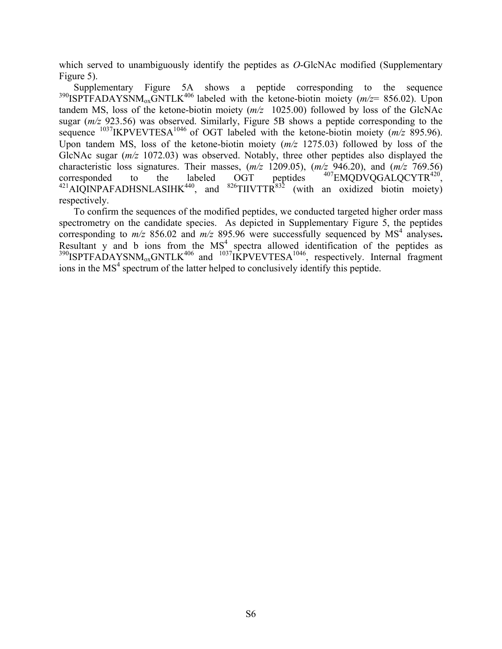which served to unambiguously identify the peptides as *O*-GlcNAc modified (Supplementary Figure 5).

 Supplementary Figure 5A shows a peptide corresponding to the sequence  $390$ ISPTFADAYSNM<sub>ox</sub>GNTLK<sup>406</sup> labeled with the ketone-biotin moiety ( $m/z$ = 856.02). Upon tandem MS, loss of the ketone-biotin moiety (*m/z* 1025.00) followed by loss of the GlcNAc sugar (*m/z* 923.56) was observed. Similarly, Figure 5B shows a peptide corresponding to the sequence <sup>1037</sup>IKPVEVTESA<sup>1046</sup> of OGT labeled with the ketone-biotin moiety ( $m/z$  895.96). Upon tandem MS, loss of the ketone-biotin moiety (*m/z* 1275.03) followed by loss of the GlcNAc sugar (*m/z* 1072.03) was observed. Notably, three other peptides also displayed the characteristic loss signatures. Their masses,  $(m/z \ 1209.05)$ ,  $(m/z \ 946.20)$ , and  $(m/z \ 769.56)$  corresponded to the labeled OGT peptides  $^{407}$ EMQDVQGALQCYTR<sup>420</sup>, corresponded to the labeled OGT peptides  $^{407}$ EMQDVQGALQCYTR<sup>420</sup>,  $^{421}$ AIQINPAFADHSNLASIHK<sup>440</sup>, and  $^{826}$ TIIVTTR<sup>832</sup> (with an oxidized biotin moiety) respectively.

 To confirm the sequences of the modified peptides, we conducted targeted higher order mass spectrometry on the candidate species. As depicted in Supplementary Figure 5, the peptides corresponding to  $m/z$  856.02 and  $m/z$  895.96 were successfully sequenced by  $MS<sup>4</sup>$  analyses. Resultant  $y$  and  $b$  ions from the  $MS<sup>4</sup>$  spectra allowed identification of the peptides as  $390$ ISPTFADAYSNM<sub>ox</sub>GNTLK<sup>406</sup> and  $1037$ IKPVEVTESA<sup>1046</sup>, respectively. Internal fragment ions in the  $MS<sup>4</sup>$  spectrum of the latter helped to conclusively identify this peptide.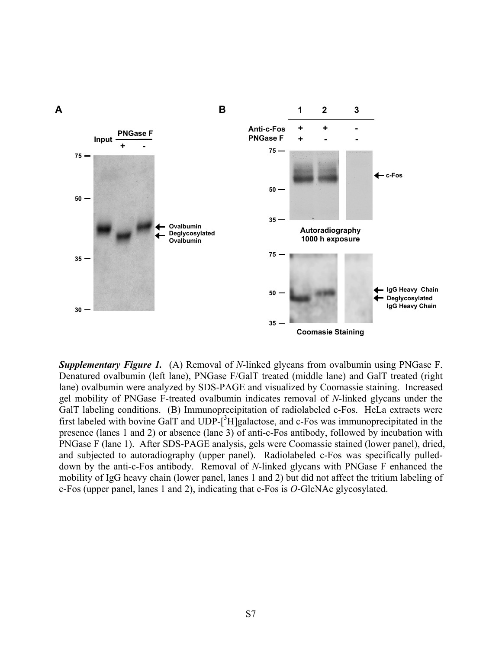

**Supplementary Figure 1.** (A) Removal of *N*-linked glycans from ovalbumin using PNGase F. Denatured ovalbumin (left lane), PNGase F/GalT treated (middle lane) and GalT treated (right lane) ovalbumin were analyzed by SDS-PAGE and visualized by Coomassie staining. Increased gel mobility of PNGase F-treated ovalbumin indicates removal of *N*-linked glycans under the GalT labeling conditions. (B) Immunoprecipitation of radiolabeled c-Fos. HeLa extracts were first labeled with bovine GalT and  $\text{UDP-}[^3\text{H}]$ galactose, and c-Fos was immunoprecipitated in the presence (lanes 1 and 2) or absence (lane 3) of anti-c-Fos antibody, followed by incubation with PNGase F (lane 1). After SDS-PAGE analysis, gels were Coomassie stained (lower panel), dried, and subjected to autoradiography (upper panel). Radiolabeled c-Fos was specifically pulleddown by the anti-c-Fos antibody. Removal of *N*-linked glycans with PNGase F enhanced the mobility of IgG heavy chain (lower panel, lanes 1 and 2) but did not affect the tritium labeling of c-Fos (upper panel, lanes 1 and 2), indicating that c-Fos is *O*-GlcNAc glycosylated.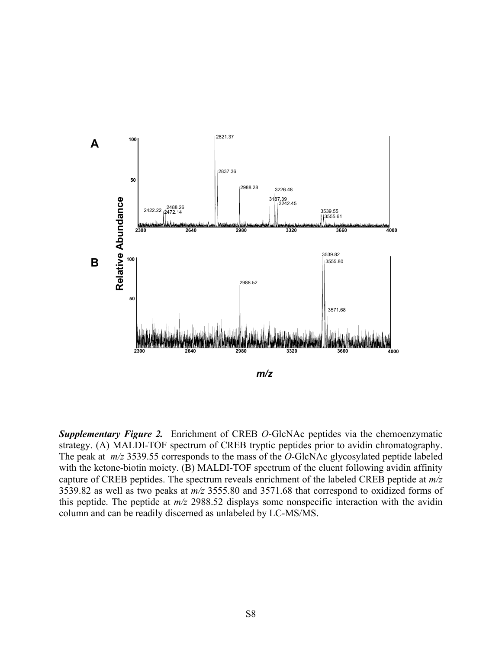

*Supplementary Figure 2.*Enrichment of CREB *O*-GlcNAc peptides via the chemoenzymatic strategy. (A) MALDI-TOF spectrum of CREB tryptic peptides prior to avidin chromatography. The peak at *m/z* 3539.55 corresponds to the mass of the *O*-GlcNAc glycosylated peptide labeled with the ketone-biotin moiety. (B) MALDI-TOF spectrum of the eluent following avidin affinity capture of CREB peptides. The spectrum reveals enrichment of the labeled CREB peptide at *m/z* 3539.82 as well as two peaks at *m/z* 3555.80 and 3571.68 that correspond to oxidized forms of this peptide. The peptide at *m/z* 2988.52 displays some nonspecific interaction with the avidin column and can be readily discerned as unlabeled by LC-MS/MS.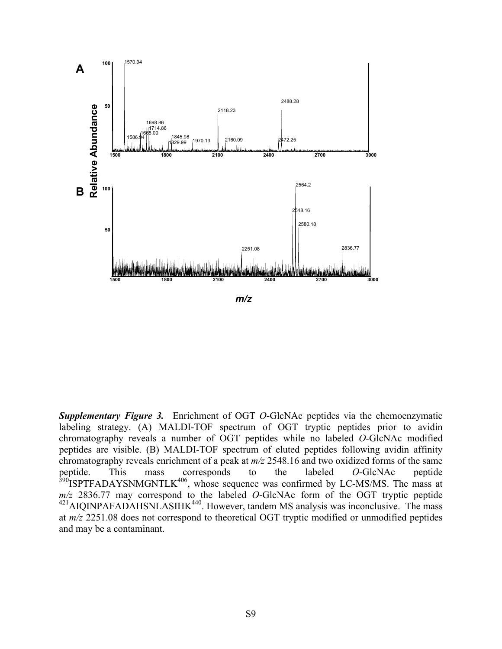

*Supplementary Figure 3.*Enrichment of OGT *O*-GlcNAc peptides via the chemoenzymatic labeling strategy. (A) MALDI-TOF spectrum of OGT tryptic peptides prior to avidin chromatography reveals a number of OGT peptides while no labeled *O*-GlcNAc modified peptides are visible. (B) MALDI-TOF spectrum of eluted peptides following avidin affinity chromatography reveals enrichment of a peak at *m/z* 2548.16 and two oxidized forms of the same peptide. This mass corresponds to the labeled *O*-GlcNAc peptide  $390$ ISPTFADAYSNMGNTLK $406$ , whose sequence was confirmed by LC-MS/MS. The mass at *m/z* 2836.77 may correspond to the labeled *O*-GlcNAc form of the OGT tryptic peptide  $^{421}$ AIQINPAFADAHSNLASIHK $^{440}$ . However, tandem MS analysis was inconclusive. The mass at *m/z* 2251.08 does not correspond to theoretical OGT tryptic modified or unmodified peptides and may be a contaminant.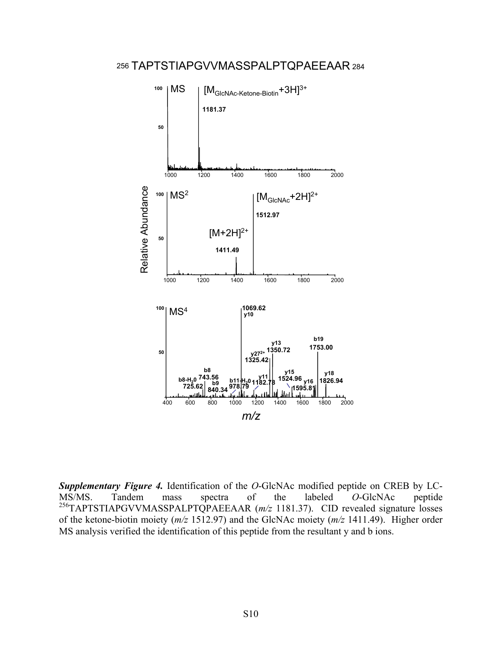

**Supplementary Figure 4.** Identification of the *O*-GlcNAc modified peptide on CREB by LC-MS/MS. Tandem mass spectra of the labeled *O*-GlcNAc peptide MS/MS. Tandem mass spectra of the labeled *O*-GlcNAc peptide 256TAPTSTIAPGVVMASSPALPTQPAEEAAR (*m/z* 1181.37). CID revealed signature losses of the ketone-biotin moiety (*m/z* 1512.97) and the GlcNAc moiety (*m/z* 1411.49). Higher order MS analysis verified the identification of this peptide from the resultant y and b ions.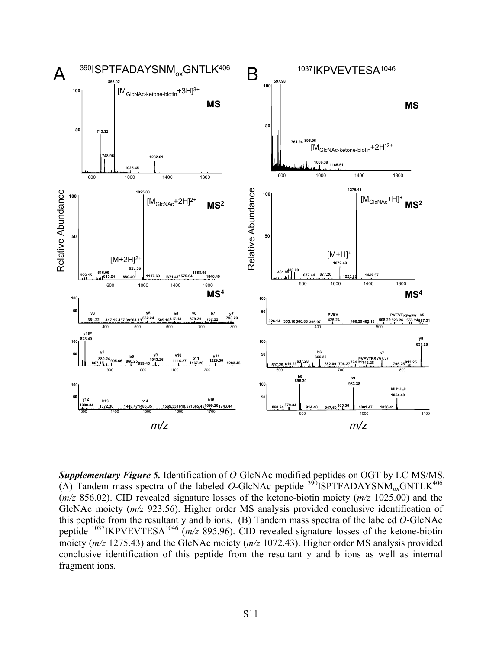

*Supplementary Figure 5.* Identification of *O*-GlcNAc modified peptides on OGT by LC-MS/MS. (A) Tandem mass spectra of the labeled  $O$ -GlcNAc peptide  $390$ ISPTFADAYSNM<sub>ox</sub>GNTLK<sup>406</sup> (*m/z* 856.02). CID revealed signature losses of the ketone-biotin moiety (*m/z* 1025.00) and the GlcNAc moiety (*m/z* 923.56). Higher order MS analysis provided conclusive identification of this peptide from the resultant y and b ions. (B) Tandem mass spectra of the labeled *O*-GlcNAc peptide 1037IKPVEVTESA1046 (*m/z* 895.96). CID revealed signature losses of the ketone-biotin moiety (*m/z* 1275.43) and the GlcNAc moiety (*m/z* 1072.43). Higher order MS analysis provided conclusive identification of this peptide from the resultant y and b ions as well as internal fragment ions.